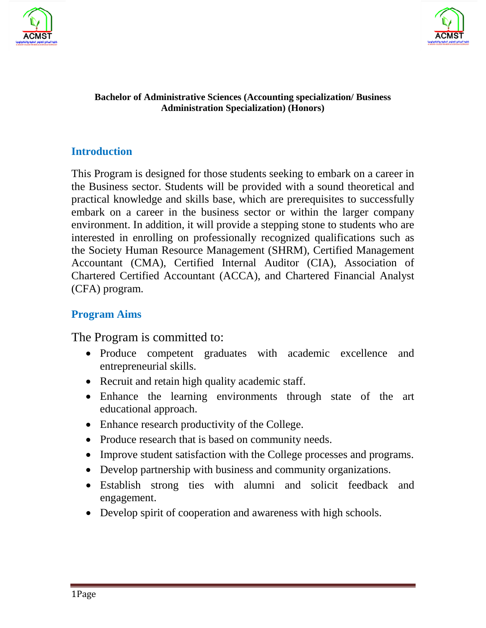



#### **Bachelor of Administrative Sciences (Accounting specialization/ Business Administration Specialization) (Honors)**

### **Introduction**

This Program is designed for those students seeking to embark on a career in the Business sector. Students will be provided with a sound theoretical and practical knowledge and skills base, which are prerequisites to successfully embark on a career in the business sector or within the larger company environment. In addition, it will provide a stepping stone to students who are interested in enrolling on professionally recognized qualifications such as the Society Human Resource Management (SHRM), Certified Management Accountant (CMA), Certified Internal Auditor (CIA), Association of Chartered Certified Accountant (ACCA), and Chartered Financial Analyst (CFA) program.

## **Program Aims**

The Program is committed to:

- Produce competent graduates with academic excellence and entrepreneurial skills.
- Recruit and retain high quality academic staff.
- Enhance the learning environments through state of the art educational approach.
- Enhance research productivity of the College.
- Produce research that is based on community needs.
- Improve student satisfaction with the College processes and programs.
- Develop partnership with business and community organizations.
- Establish strong ties with alumni and solicit feedback and engagement.
- Develop spirit of cooperation and awareness with high schools.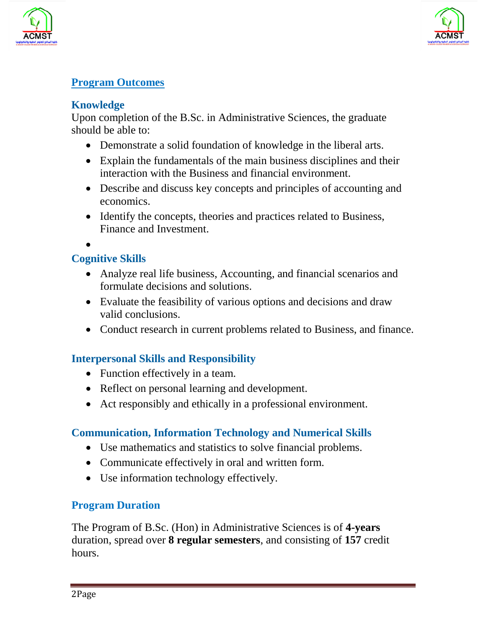



#### **Program Outcomes**

#### **Knowledge**

Upon completion of the B.Sc. in Administrative Sciences, the graduate should be able to:

- Demonstrate a solid foundation of knowledge in the liberal arts.
- Explain the fundamentals of the main business disciplines and their interaction with the Business and financial environment.
- Describe and discuss key concepts and principles of accounting and economics.
- Identify the concepts, theories and practices related to Business, Finance and Investment.

•

### **Cognitive Skills**

- Analyze real life business, Accounting, and financial scenarios and formulate decisions and solutions.
- Evaluate the feasibility of various options and decisions and draw valid conclusions.
- Conduct research in current problems related to Business, and finance.

#### **Interpersonal Skills and Responsibility**

- Function effectively in a team.
- Reflect on personal learning and development.
- Act responsibly and ethically in a professional environment.

#### **Communication, Information Technology and Numerical Skills**

- Use mathematics and statistics to solve financial problems.
- Communicate effectively in oral and written form.
- Use information technology effectively.

#### **Program Duration**

The Program of B.Sc. (Hon) in Administrative Sciences is of **4-years** duration, spread over **8 regular semesters**, and consisting of **157** credit hours.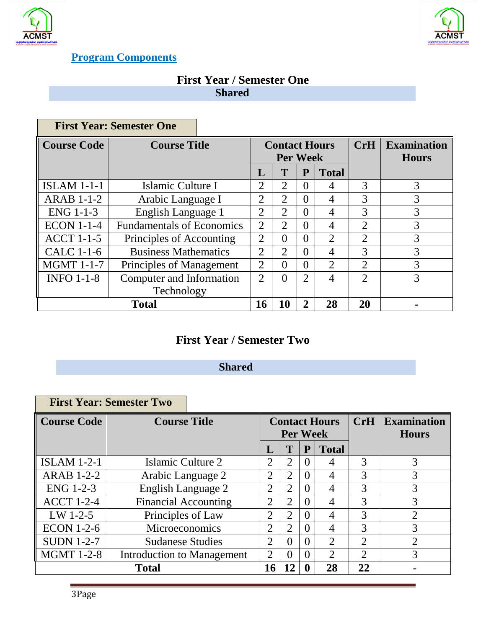



 $\sim$ 

## **Program Components**

#### **First Year / Semester One Shared**

|                    | <b>First Year: Semester One</b>  |                |                                         |                |                |                             |                                    |
|--------------------|----------------------------------|----------------|-----------------------------------------|----------------|----------------|-----------------------------|------------------------------------|
| <b>Course Code</b> | <b>Course Title</b>              |                | <b>Contact Hours</b><br><b>Per Week</b> |                |                | CrH                         | <b>Examination</b><br><b>Hours</b> |
|                    |                                  | L              | T                                       | P              | <b>Total</b>   |                             |                                    |
| <b>ISLAM 1-1-1</b> | Islamic Culture I                | $\overline{2}$ | $\overline{2}$                          | $\theta$       | 4              | 3                           | 3                                  |
| <b>ARAB 1-1-2</b>  | Arabic Language I                | $\overline{2}$ | 2                                       | $\theta$       | 4              | 3                           | 3                                  |
| $ENG$ 1-1-3        | English Language 1               | $\overline{2}$ | 2                                       | $\theta$       | 4              | 3                           | 3                                  |
| <b>ECON 1-1-4</b>  | <b>Fundamentals of Economics</b> | $\overline{2}$ | 2                                       | $\theta$       | 4              | 2                           | 3                                  |
| <b>ACCT 1-1-5</b>  | Principles of Accounting         | $\overline{2}$ | $\theta$                                | $\theta$       | $\overline{2}$ | $\overline{2}$              | 3                                  |
| <b>CALC 1-1-6</b>  | <b>Business Mathematics</b>      | $\overline{2}$ | 2                                       | $\theta$       | 4              | 3                           | 3                                  |
| <b>MGMT 1-1-7</b>  | Principles of Management         | $\overline{2}$ | $\theta$                                | $\theta$       | $\overline{2}$ | $\mathcal{D}_{\mathcal{L}}$ | 3                                  |
| <b>INFO 1-1-8</b>  | Computer and Information         | $\overline{2}$ | $\theta$                                | $\overline{2}$ | 4              | $\gamma$                    | 3                                  |
|                    | Technology                       |                |                                         |                |                |                             |                                    |
| <b>Total</b>       |                                  |                | 10                                      | $\overline{2}$ | 28             | 20                          |                                    |

# **First Year / Semester Two**

## **Shared**

|                    | <b>First Year: Semester Two</b> |                |                             |   |                             |                |                                    |
|--------------------|---------------------------------|----------------|-----------------------------|---|-----------------------------|----------------|------------------------------------|
| <b>Course Code</b> | <b>Course Title</b>             |                | <b>Per Week</b>             |   | <b>Contact Hours</b>        | CrH            | <b>Examination</b><br><b>Hours</b> |
|                    |                                 | L              | T                           | P | <b>Total</b>                |                |                                    |
| <b>ISLAM 1-2-1</b> | Islamic Culture 2               | 2              | 2                           |   | 4                           | 3              | 3                                  |
| <b>ARAB 1-2-2</b>  | Arabic Language 2               | $\overline{2}$ | 2                           |   | 4                           | 3              | 3                                  |
| ENG 1-2-3          | <b>English Language 2</b>       | $\overline{2}$ | $\mathcal{D}_{\mathcal{L}}$ |   | 4                           | 3              | 3                                  |
| <b>ACCT 1-2-4</b>  | <b>Financial Accounting</b>     | $\overline{2}$ | 2                           |   | 4                           | 3              | 3                                  |
| $LW$ 1-2-5         | Principles of Law               | $\overline{2}$ | 2                           |   | 4                           | 3              | $\overline{2}$                     |
| <b>ECON 1-2-6</b>  | Microeconomics                  | $\overline{2}$ | 2                           |   | 4                           | 3              | 3                                  |
| <b>SUDN 1-2-7</b>  | <b>Sudanese Studies</b>         | $\overline{2}$ | $\Omega$                    |   | $\mathcal{D}_{\mathcal{L}}$ | $\overline{2}$ | $\overline{2}$                     |
| <b>MGMT 1-2-8</b>  | Introduction to Management      | 2              | $\Omega$                    |   | $\overline{2}$              | 2              | 3                                  |
|                    | <b>Total</b>                    | 16             | 12                          |   | 28                          | 22             |                                    |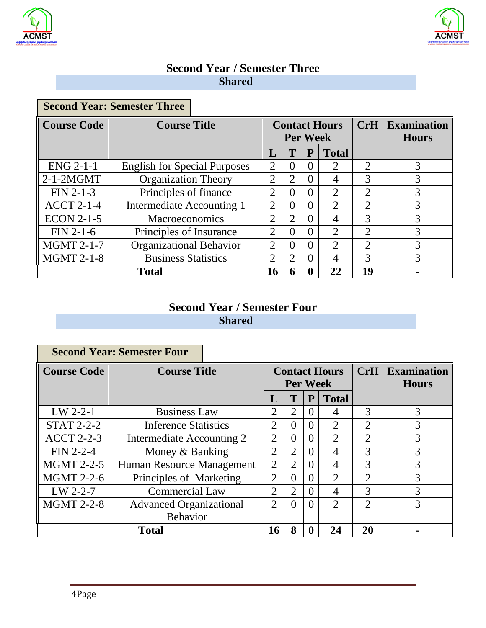



 $\sim$ 

## **Second Year / Semester Three Shared**

|                    | <b>Second Year: Semester Three</b>  |                                         |                |          |                |                             |                                    |
|--------------------|-------------------------------------|-----------------------------------------|----------------|----------|----------------|-----------------------------|------------------------------------|
| <b>Course Code</b> | <b>Course Title</b>                 | <b>Contact Hours</b><br><b>Per Week</b> |                |          |                | CrH                         | <b>Examination</b><br><b>Hours</b> |
|                    |                                     | L                                       | T              | P        | <b>Total</b>   |                             |                                    |
| $ENG 2-1-1$        | <b>English for Special Purposes</b> | $\overline{2}$                          | $\theta$       | 0        | 2              | $\mathcal{D}_{\mathcal{L}}$ | 3                                  |
| $2-1-2MGMT$        | <b>Organization Theory</b>          | $\overline{2}$                          | 2              | 0        | $\overline{4}$ | 3                           | 3                                  |
| $FIN 2-1-3$        | Principles of finance               | $\overline{2}$                          | $\Omega$       | $\Omega$ | 2              | $\mathcal{D}_{\mathcal{L}}$ | 3                                  |
| $ACCT$ 2-1-4       | Intermediate Accounting 1           | $\overline{2}$                          | $\theta$       | 0        | 2              | $\overline{2}$              | 3                                  |
| <b>ECON 2-1-5</b>  | <b>Macroeconomics</b>               | $\overline{2}$                          | $\overline{2}$ | 0        | $\overline{4}$ | 3                           | 3                                  |
| $FIN 2-1-6$        | Principles of Insurance             | $\overline{2}$                          | $\theta$       | 0        | 2              | $\mathcal{D}_{\mathcal{L}}$ | 3                                  |
| <b>MGMT 2-1-7</b>  | <b>Organizational Behavior</b>      | $\overline{2}$                          | $\Omega$       | $\theta$ | $\overline{2}$ | $\overline{2}$              | 3                                  |
| <b>MGMT 2-1-8</b>  | <b>Business Statistics</b>          | $\overline{2}$                          | 2              | $\theta$ | $\overline{4}$ | 3                           | 3                                  |
| <b>Total</b>       |                                     |                                         | 6              |          | 22             | 19                          |                                    |

## **Second Year / Semester Four Shared**

|                    | <b>Second Year: Semester Four</b> |                                         |                |                   |                |                |                                    |
|--------------------|-----------------------------------|-----------------------------------------|----------------|-------------------|----------------|----------------|------------------------------------|
| <b>Course Code</b> | <b>Course Title</b>               | <b>Contact Hours</b><br><b>Per Week</b> |                |                   |                | CrH            | <b>Examination</b><br><b>Hours</b> |
|                    |                                   | L                                       | T              | P                 | <b>Total</b>   |                |                                    |
| $LW$ 2-2-1         | <b>Business Law</b>               | $\overline{2}$                          | 2              | $\mathbf{\Omega}$ | 4              | 3              | 3                                  |
| <b>STAT 2-2-2</b>  | <b>Inference Statistics</b>       | $\overline{2}$                          | $\Omega$       | 0                 | $\overline{2}$ | $\overline{2}$ | 3                                  |
| <b>ACCT 2-2-3</b>  | Intermediate Accounting 2         | $\overline{2}$                          | $\Omega$       | 0                 | $\overline{2}$ | $\overline{2}$ | 3                                  |
| $FIN 2-2-4$        | Money & Banking                   | $\overline{2}$                          | 2              | 0                 | $\overline{4}$ | 3              | 3                                  |
| <b>MGMT 2-2-5</b>  | Human Resource Management         | $\overline{2}$                          | 2              | $\mathbf{\Omega}$ | $\overline{4}$ | 3              | 3                                  |
| <b>MGMT 2-2-6</b>  | Principles of Marketing           | $\overline{2}$                          | $\Omega$       | 0                 | 2              | $\mathfrak{D}$ | 3                                  |
| $LW$ 2-2-7         | <b>Commercial Law</b>             | $\overline{2}$                          | $\overline{2}$ | 0                 | $\overline{4}$ | 3              | 3                                  |
| <b>MGMT 2-2-8</b>  | <b>Advanced Organizational</b>    | $\overline{2}$                          | $\Omega$       |                   | $\overline{2}$ | $\mathcal{D}$  | 3                                  |
|                    | <b>Behavior</b>                   |                                         |                |                   |                |                |                                    |
| <b>Total</b>       |                                   | 16                                      | 8              |                   | 24             | 20             |                                    |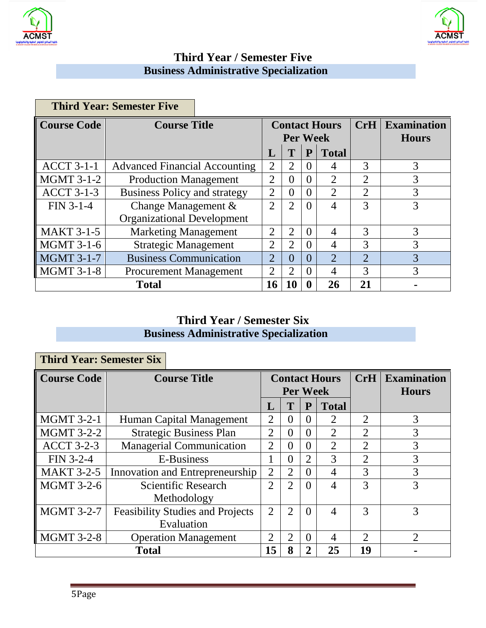



## **Third Year / Semester Five Business Administrative Specialization**

|                    | <b>Third Year: Semester Five</b>     |                                         |                |              |                             |                             |                                    |
|--------------------|--------------------------------------|-----------------------------------------|----------------|--------------|-----------------------------|-----------------------------|------------------------------------|
| <b>Course Code</b> | <b>Course Title</b>                  | <b>Contact Hours</b><br><b>Per Week</b> |                |              |                             | CrH                         | <b>Examination</b><br><b>Hours</b> |
|                    |                                      | L                                       | T              | ${\bf P}$    | <b>Total</b>                |                             |                                    |
| <b>ACCT 3-1-1</b>  | <b>Advanced Financial Accounting</b> | 2                                       | 2              | $\theta$     | 4                           | $\mathcal{R}$               | 3                                  |
| <b>MGMT 3-1-2</b>  | <b>Production Management</b>         | 2                                       | 0              | $\Omega$     | $\overline{2}$              | 2                           | 3                                  |
| <b>ACCT 3-1-3</b>  | <b>Business Policy and strategy</b>  |                                         | 0              | $\theta$     | $\overline{2}$              | $\overline{2}$              | 3                                  |
| FIN 3-1-4          | Change Management &                  |                                         | $\overline{2}$ | $\Omega$     | $\overline{4}$              | 3                           | 3                                  |
|                    | <b>Organizational Development</b>    |                                         |                |              |                             |                             |                                    |
| <b>MAKT 3-1-5</b>  | <b>Marketing Management</b>          | 2                                       | 2              | $\theta$     | $\overline{4}$              | 3                           | 3                                  |
| <b>MGMT 3-1-6</b>  | <b>Strategic Management</b>          | $\overline{2}$                          | 2              | $\Omega$     | $\overline{4}$              | 3                           | 3                                  |
| <b>MGMT 3-1-7</b>  | <b>Business Communication</b>        | $\overline{2}$                          | 0              | $\theta$     | $\mathcal{D}_{\mathcal{L}}$ | $\mathcal{D}_{\mathcal{L}}$ | 3                                  |
| <b>MGMT 3-1-8</b>  | <b>Procurement Management</b>        | $\overline{2}$                          | $\overline{2}$ | $\Omega$     | $\overline{4}$              | $\mathcal{R}$               | 3                                  |
| <b>Total</b>       |                                      | 16                                      | 10             | $\mathbf{0}$ | 26                          | 21                          |                                    |

## **Third Year / Semester Six Business Administrative Specialization**

| <b>Third Year: Semester Six</b> |                     |                                         |                |                                         |                |                |                |                                    |
|---------------------------------|---------------------|-----------------------------------------|----------------|-----------------------------------------|----------------|----------------|----------------|------------------------------------|
| <b>Course Code</b>              | <b>Course Title</b> |                                         |                | <b>Contact Hours</b><br><b>Per Week</b> |                |                |                | <b>Examination</b><br><b>Hours</b> |
|                                 |                     |                                         | L              | T                                       | ${\bf P}$      | <b>Total</b>   |                |                                    |
| <b>MGMT 3-2-1</b>               |                     | Human Capital Management                | $\overline{2}$ | $\theta$                                | $\Omega$       | 2              | $\overline{2}$ | 3                                  |
| <b>MGMT 3-2-2</b>               |                     | <b>Strategic Business Plan</b>          | $\overline{2}$ | $\Omega$                                | $\Omega$       | 2              | $\overline{2}$ | 3                                  |
| <b>ACCT 3-2-3</b>               |                     | <b>Managerial Communication</b>         | $\overline{2}$ | $\theta$                                | $\theta$       | 2              | $\overline{2}$ | 3                                  |
| FIN 3-2-4                       |                     | E-Business                              | 1              | $\mathbf{0}$                            | $\overline{2}$ | 3              | $\overline{2}$ | 3                                  |
| <b>MAKT 3-2-5</b>               |                     | Innovation and Entrepreneurship         | $\overline{2}$ | $\overline{2}$                          | $\theta$       | $\overline{4}$ | 3              | 3                                  |
| <b>MGMT 3-2-6</b>               |                     | <b>Scientific Research</b>              | $\overline{2}$ | $\mathfrak{D}$                          | $\theta$       | $\overline{4}$ | 3              | 3                                  |
|                                 |                     | Methodology                             |                |                                         |                |                |                |                                    |
| <b>MGMT 3-2-7</b>               |                     | <b>Feasibility Studies and Projects</b> | $\overline{2}$ | $\overline{2}$                          | $\Omega$       | $\overline{4}$ | 3              | 3                                  |
|                                 |                     | Evaluation                              |                |                                         |                |                |                |                                    |
| <b>MGMT 3-2-8</b>               |                     | <b>Operation Management</b>             | $\overline{2}$ | $\overline{2}$                          | $\Omega$       | $\overline{4}$ | $\mathfrak{D}$ | $\mathcal{D}_{\mathcal{L}}$        |
| <b>Total</b>                    |                     | 15                                      | 8              | 2                                       | 25             | 19             |                |                                    |